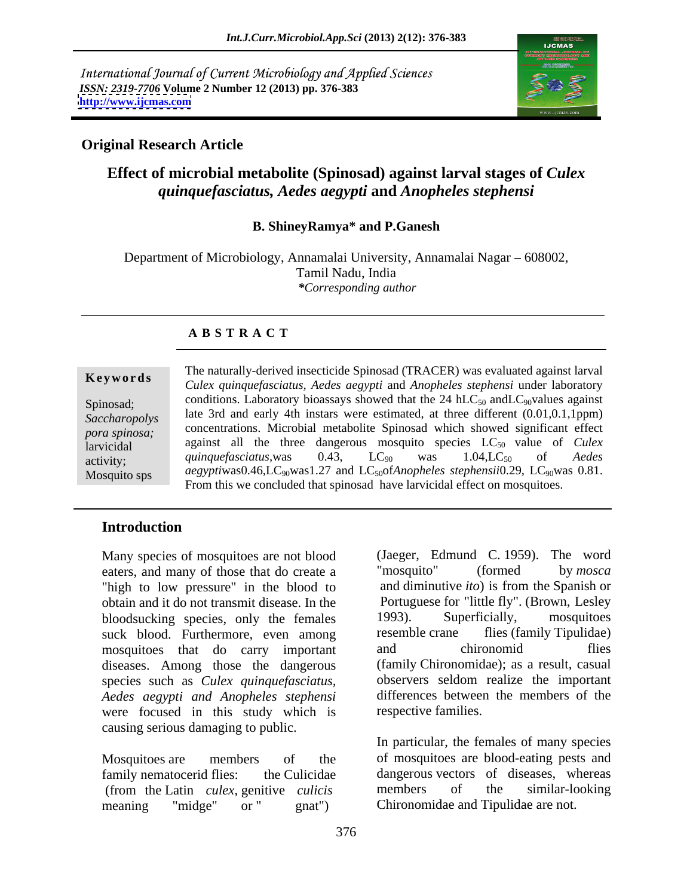International Journal of Current Microbiology and Applied Sciences *ISSN: 2319-7706* **Volume 2 Number 12 (2013) pp. 376-383 <http://www.ijcmas.com>**



# **Original Research Article**

# **Effect of microbial metabolite (Spinosad) against larval stages of** *Culex quinquefasciatus, Aedes aegypti* **and** *Anopheles stephensi*

### **B. ShineyRamya\* and P.Ganesh**

Department of Microbiology, Annamalai University, Annamalai Nagar – 608002, Tamil Nadu, India *\*Corresponding author* 

# **A B S T R A C T**

**Ke ywo rds** *Culex quinquefasciatus, Aedes aegypti* and *Anopheles stephensi* under laboratory Spinosad; conditions. Laboratory bioassays showed that the 24 hLC<sub>50</sub> andLC<sub>90</sub>values against **Saccharopolys** late 3rd and early 4th instars were estimated, at three different (0.01,0.1,1ppm) *pora spinosa*; concentrations. Microbial metabolite Spinosad which showed significant effect larvicidal against all the three dangerous mosquito species  $LC_{50}$  value of *Culex* against all the three dangerous mosquito species  $LC_{50}$  value of *Culex* activity; and quinque fasciatus, was  $0.43$ ,  $1.04$ ,  $1.04$ ,  $1.04$ ,  $1.04$ ,  $1.02$ ,  $0.01$  are  $0.01$  $M$ osquito sps *aegyptiwas*0.46,LC<sub>90</sub>was1.27 and LC<sub>50</sub>of*Anopheles stephensii*0.29, LC<sub>90</sub>was 0.81. The naturally-derived insecticide Spinosad (TRACER) was evaluated against larval *quinquefasciatus,* was 0.43, LC<sub>90</sub> was 1.04,LC<sub>50</sub> of *Aedes* From this we concluded that spinosad have larvicidal effect on mosquitoes.

# **Introduction**

eaters, and many of those that do create a "mosquito" (formed by mosca "high to low pressure" in the blood to obtain and it do not transmit disease. In the bloodsucking species, only the females 1993). Superficially, mosquitoes suck blood. Furthermore, even among resemble crane flies (family Tipulidae) mosquitoes that do carry important diseases. Among those the dangerous species such as *Culex quinquefasciatus, Aedes aegypti and Anopheles stephensi* were focused in this study which is causing serious damaging to public. Many species of mosquitoes are not blood (Jaeger, Edmund C. 1959). The word<br>
eaters, and many of those that do create a "mosquito" (formed by moscar<br>
"high to low pressure" in the blood to and dimutive *ito*) is from the S

Mosquitoes are members of the of mosquitoes are blood-eating pests and family nematocerid flies: the Culicidae dangerous vectors of diseases, whereas (from the Latin *culex*, genitive *culicis*

Many species of mosquitoes are not blood (Jaeger, Edmund C. 1959). The word "mosquito" (formed by *mosca* and diminutive *ito*) is from the Spanish or Portuguese for "little fly". (Brown, Lesley 1993). Superficially, mosquitoes resemble crane flies (family Tipulidae) and chironomid flies (family Chironomidae); as a result, casual observers seldom realize the important differences between the members of the respective families.

> In particular, the females of many species members of the similar-looking Chironomidae and Tipulidae are not.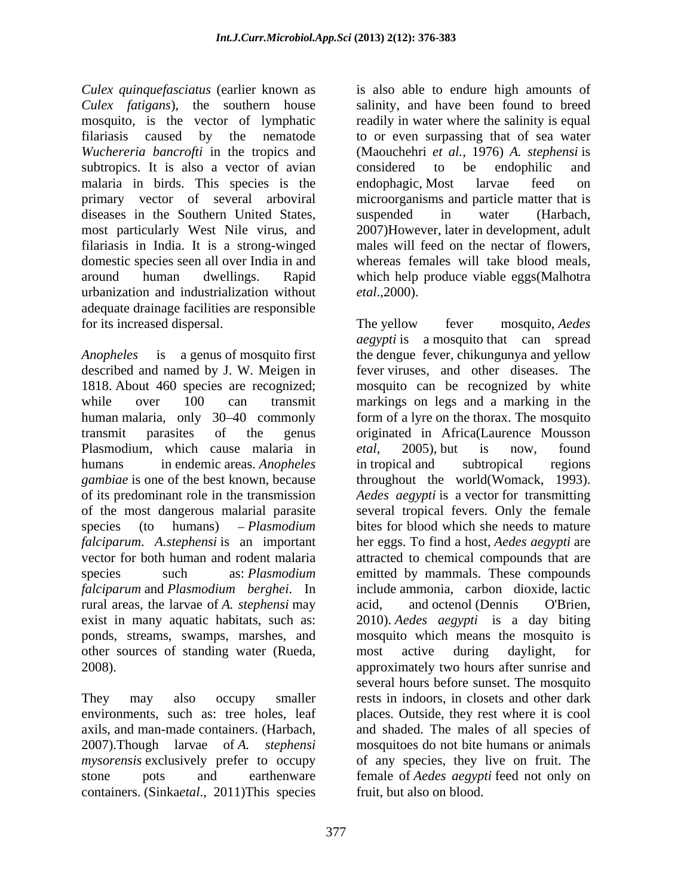*Culex quinquefasciatus* (earlier known as *Culex fatigans*), the southern house mosquito, is the vector of lymphatic readily in water where the salinity is equal filariasis caused by the nematode to or even surpassing that of sea water *Wuchereria bancrofti* in the tropics and subtropics. It is also a vector of avian considered to be endophilic and malaria in birds. This species is the endophagic, Most larvae feed on primary vector of several arboviral microorganisms and particle matter that is diseases in the Southern United States, suspended in water (Harbach, most particularly West Nile virus, and 2007)However, later in development, adult filariasis in India. It is a strong-winged domestic species seen all over India in and around human dwellings. Rapid which help produce viable eggs(Malhotra urbanization and industrialization without *etal.*,2000). adequate drainage facilities are responsible for its increased dispersal. The yellow fever mosquito, *Aedes* 

*Anopheles* is a genus of mosquito first the dengue fever, chikungunya and yellow described and named by J. W. Meigen in fever viruses, and other diseases. The 1818. About 460 species are recognized; mosquito can be recognized by white while over 100 can transmit markings on legs and a marking in the human malaria, only 30–40 commonly form of a lyre on the thorax. The mosquito transmit parasites of the genus originated in Africa(Laurence Mousson Plasmodium, which cause malaria in etal, 2005), but is now, found humans in endemic areas. *Anopheles* in tropical and subtropical regions *gambiae* is one of the best known, because of its predominant role in the transmission Aedes *aegypti* is a vector for transmitting of the most dangerous malarial parasite several tropical fevers. Only the female species (to humans) *Plasmodium*  bites for blood which she needs to mature *falciparum*. *A.stephensi* is an important her eggs. To find a host, *Aedes aegypti* are vector for both human and rodent malaria attracted to chemical compounds that are species such as: *Plasmodium* emitted by mammals. These compounds *falciparum* and *Plasmodium berghei*. In rural areas, the larvae of *A. stephensi* may exist in many aquatic habitats, such as: 2010). *Aedes aegypti* is a day biting ponds, streams, swamps, marshes, and mosquito which means the mosquito is other sources of standing water (Rueda, 2008). approximately two hours after sunrise and

2007).Though larvae of *A. stephensi* containers. (Sinka*etal*., 2011)This species is also able to endure high amounts of salinity, and have been found to breed (Maouchehri *et al.,* 1976) *A. stephensi* is considered to be endophilic and endophagic, Most larvae feed on suspended in water (Harbach, males will feed on the nectar of flowers, whereas females will take blood meals, *etal*.,2000).

They may also occupy smaller rests in indoors, in closets and other dark environments, such as: tree holes, leaf places. Outside, they rest where it is cool axils, and man-made containers. (Harbach, and shaded. The males of all species of *mysorensis* exclusively prefer to occupy of any species, they live on fruit. The stone pots and earthenware female of *Aedes aegypti*feed not only on The yellow fever mosquito, *Aedes aegypti* is a mosquito that can spread *etal*, 2005), but is now, found in tropical and subtropical regions throughout the world(Womack, 1993). include ammonia, carbon dioxide, lactic acid, and octenol (Dennis O'Brien, most active during daylight, for several hours before sunset. The mosquito mosquitoes do not bite humans or animals fruit, but also on blood.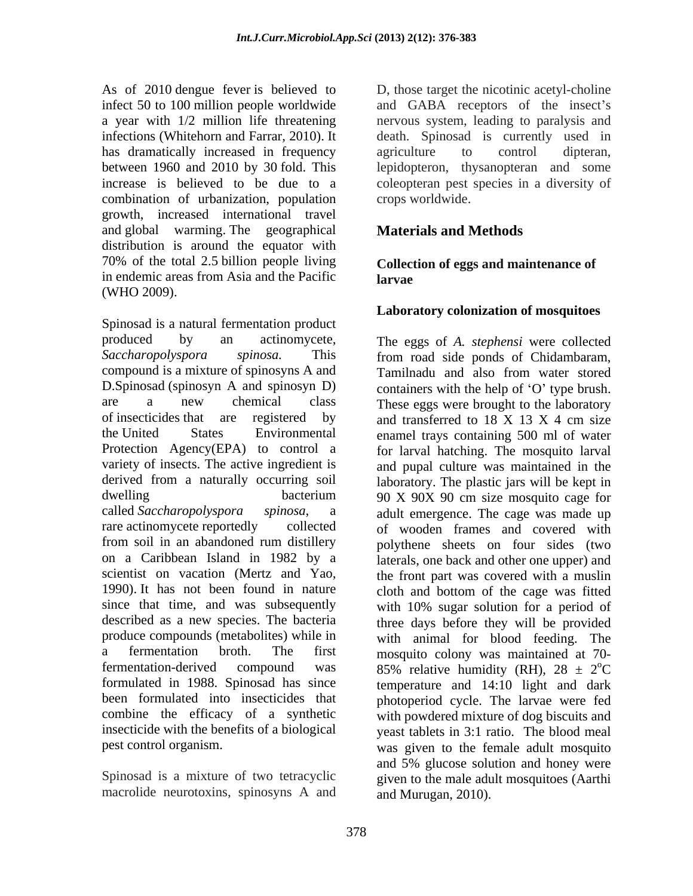As of 2010 dengue fever is believed to D, those target the nicotinic acetyl-choline infect 50 to 100 million people worldwide and GABA receptors of the insect's a year with 1/2 million life threatening nervous system, leading to paralysis and infections (Whitehorn and Farrar, 2010). It death. Spinosad is currently used in has dramatically increased in frequency agriculture to control dipteran, between 1960 and 2010 by 30 fold. This lepidopteron, thysanopteran and some increase is believed to be due to a coleopteran pest species in a diversity of combination of urbanization, population growth, increased international travel and global warming. The geographical distribution is around the equator with 70% of the total 2.5 billion people living in endemic areas from Asia and the Pacific (WHO 2009).

Spinosad is a natural fermentation product produced by an actinomycete, The eggs of *A. stephensi* were collected *Saccharopolyspora spinosa.* This from road side ponds of Chidambaram, compound is a mixture of spinosyns A and Tamilnadu and also from water stored D.Spinosad (spinosyn A and spinosyn D) are a new chemical class These eggs were brought to the laboratory of insecticides that are registered by and transferred to  $18 \text{ X}$  13 X 4 cm size the United States Environmental enamel trays containing 500 ml of water Protection Agency(EPA) to control a for larval hatching. The mosquito larval variety of insects. The active ingredient is and pupal culture was maintained in the derived from a naturally occurring soil laboratory. The plastic jars will be kept in dwelling bacterium 90 X 90X 90 cm size mosquito cage for called *Saccharopolyspora spinosa*, a adult emergence. The cage was made up rare actinomycete reportedly collected of wooden frames and covered with from soil in an abandoned rum distillery polythene sheets on four sides (two on a Caribbean Island in 1982 by a laterals, one back and other one upper) and scientist on vacation (Mertz and Yao, the front part was covered with a muslin 1990). It has not been found in nature cloth and bottom of the cage was fitted since that time, and was subsequently described as a new species. The bacteria three days before they will be provided produce compounds (metabolites) while in with animal for blood feeding. The a fermentation broth. The first mosquito colony was maintained at 70 fermentation-derived compound was  $85\%$  relative humidity (RH),  $28 \pm 2^{\circ}$ C formulated in 1988. Spinosad has since temperature and 14:10 light and dark been formulated into insecticides that photoperiod cycle. The larvae were fed combine the efficacy of a synthetic with powdered mixture of dog biscuits and insecticide with the benefits of a biological

macrolide neurotoxins, spinosyns A and

agriculture to control dipteran, crops worldwide.

# **Materials and Methods**

**Collection of eggs and maintenance of larvae**

### **Laboratory colonization of mosquitoes**

pest control organism. was given to the female adult mosquito Spinosad is a mixture of two tetracyclic given to the male adult mosquitoes (Aarthi containers with the help of  $O'$  type brush. and transferred to  $18 \text{ X } 13 \text{ X } 4 \text{ cm }$  size with 10% sugar solution for a period of <sup>o</sup>C yeast tablets in 3:1 ratio. The blood meal and 5% glucose solution and honey were and Murugan, 2010).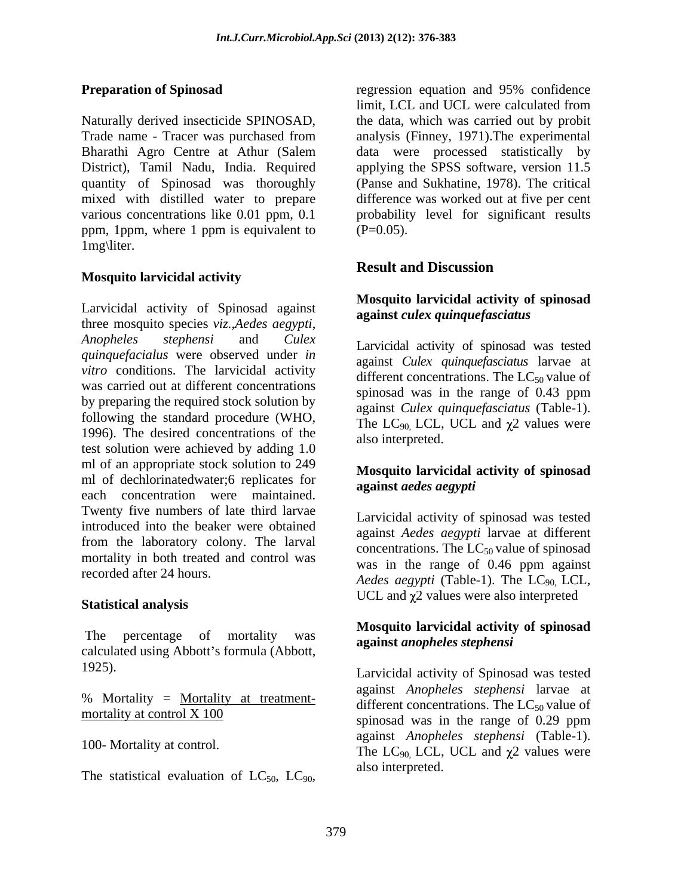Naturally derived insecticide SPINOSAD, the data, which was carried out by probit Trade name - Tracer was purchased from analysis (Finney, 1971).The experimental Bharathi Agro Centre at Athur (Salem District), Tamil Nadu, India. Required applying the SPSS software, version 11.5 quantity of Spinosad was thoroughly mixed with distilled water to prepare difference was worked out at five per cent various concentrations like 0.01 ppm, 0.1 probability level for significant results ppm, 1ppm, where 1 ppm is equivalent to  $(P=0.05)$ . 1mg\liter.

# **Mosquito larvicidal activity**

Larvicidal activity of Spinosad against three mosquito species *viz.,Aedes aegypti*, *Anopheles stephensi* and *Culex quinquefacialus* were observed under*in vitro* conditions. The larvicidal activity was carried out at different concentrations<br>spinosad was in the range of 0.43 ppm by preparing the required stock solution by following the standard procedure (WHO, 1996). The desired concentrations of the test solution were achieved by adding 1.0 ml of an appropriate stock solution to 249 ml of dechlorinatedwater;6 replicates for each concentration were maintained. Twenty five numbers of late third larvae introduced into the beaker were obtained from the laboratory colony. The larval mortality in both treated and control was

### Statistical analysis

The percentage of mortality was calculated using Abbott's formula (Abbott,

% Mortality = Mortality at treatment-

The statistical evaluation of  $LC_{50}$ ,  $LC_{90}$ ,

**Preparation of Spinosad** regression equation and 95% confidence regression equation and 95% confidence limit, LCL and UCL were calculated from data were processed statistically by (Panse and Sukhatine, 1978). The critical  $(P=0.05)$ .

## **Result and Discussion**

### **Mosquito larvicidal activity of spinosad against** *culex quinquefasciatus*

Larvicidal activity of spinosad was tested against *Culex quinquefasciatus* larvae at different concentrations. The  $LC_{50}$  value of spinosad was in the range of 0.43 ppm against *Culex quinquefasciatus* (Table-1). The  $LC_{90}$  LCL, UCL and  $\chi$ 2 values were also interpreted.

### **Mosquito larvicidal activity of spinosad against** *aedes aegypti*

recorded after 24 hours.<br> *Aedes aegypti* (Table-1). The LC<sub>90,</sub> LCL, Larvicidal activity of spinosad was tested against *Aedes aegypti* larvae at different concentrations. The  $LC_{50}$  value of spinosad was in the range of 0.46 ppm against UCL and  $\chi$ 2 values were also interpreted

### **Mosquito larvicidal activity of spinosad against** *anopheles stephensi*

1925). Larvicidal activity of Spinosad was tested  $\frac{\text{mortality at control X } 100}{\text{spinosad was in the range of } 0.29 \text{ ppm}}$ 100- Mortality at control. The LC<sub>90,</sub> LCL, UCL and  $\chi^2$  values were against *Anopheles stephensi* larvae at different concentrations. The  $LC_{50}$  value of against *Anopheles stephensi* (Table-1). also interpreted.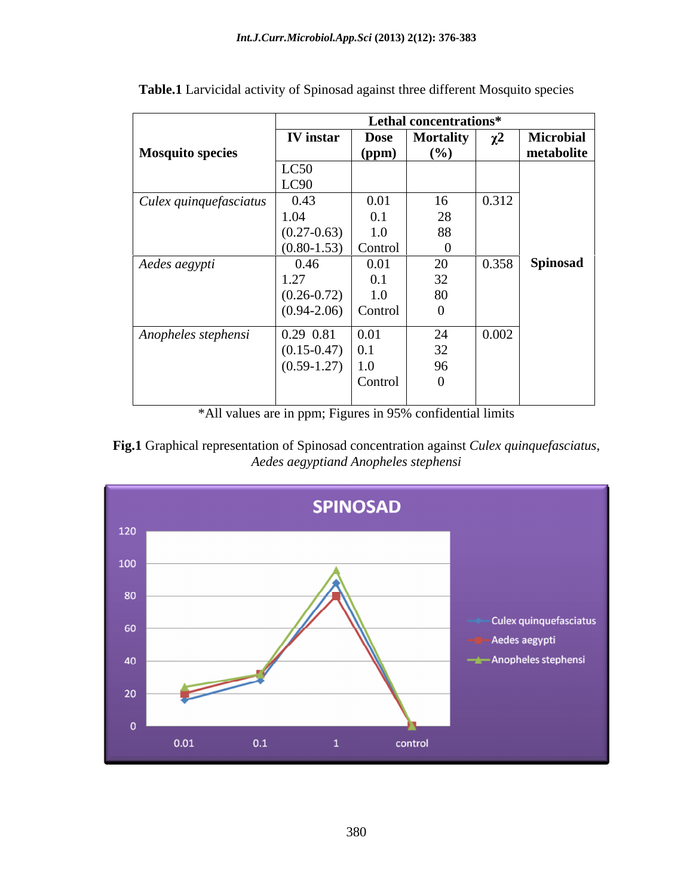|                         | Lethal concentrations* |             |           |          |                  |
|-------------------------|------------------------|-------------|-----------|----------|------------------|
|                         | <b>IV</b> instar       | <b>Dose</b> | Mortality | $\chi^2$ | <b>Microbial</b> |
| <b>Mosquito species</b> |                        | (ppm)       | (%)       |          | metabolite       |
|                         | LC50                   |             |           |          |                  |
|                         | LC90                   |             |           |          |                  |
| Culex quinquefasciatus  | 0.43                   | 0.01        | 16        | 0.312    |                  |
|                         | 1.04                   | 0.1         | 28        |          |                  |
|                         | $(0.27 - 0.63)$        | 1.0         | 88        |          |                  |
|                         | $(0.80 - 1.53)$        | Control     |           |          |                  |
| Aedes aegypti           | 0.46                   | 0.01        | 20        | 0.358    | <b>Spinosad</b>  |
|                         | 1.27                   | 0.1         | 32        |          |                  |
|                         | $(0.26 - 0.72)$        | 1.0         | 80        |          |                  |
|                         | $(0.94-2.06)$ Control  |             |           |          |                  |
|                         |                        |             |           |          |                  |
| Anopheles stephensi     | 0.29 0.81              | 0.01        | 24        | 0.002    |                  |
|                         | $(0.15-0.47)$ 0.1      |             | 32        |          |                  |
|                         | $(0.59-1.27)$          | 1.0         | 96        |          |                  |
|                         |                        | Control     |           |          |                  |
|                         |                        |             |           |          |                  |

**Table.1** Larvicidal activity of Spinosad against three different Mosquito species

\*All values are in ppm; Figures in 95% confidential limits

**Fig.1** Graphical representation of Spinosad concentration against *Culex quinquefasciatus*, *Aedes aegyptiand Anopheles stephensi*

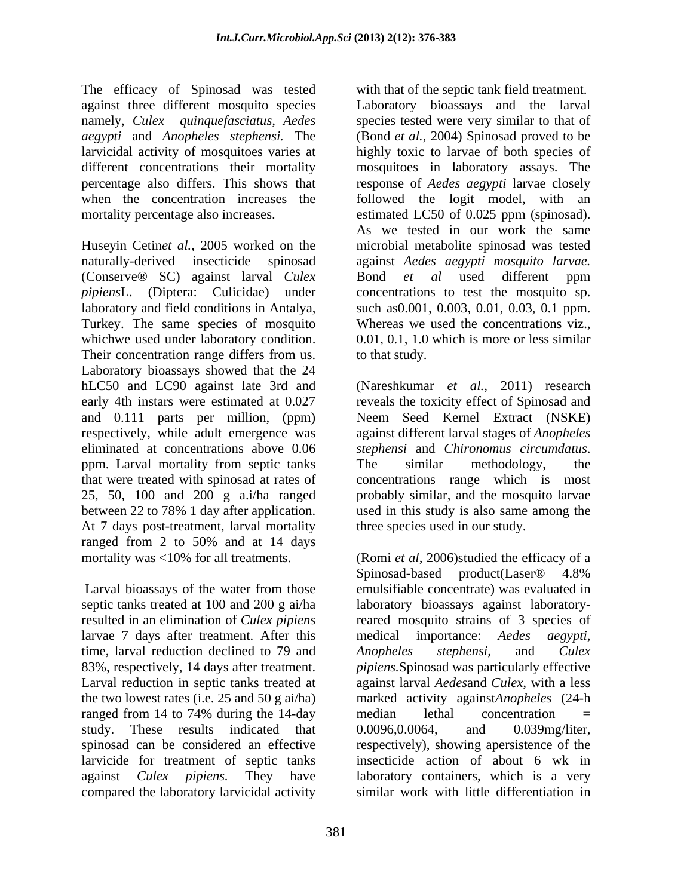The efficacy of Spinosad was tested against three different mosquito species namely, *Culex quinquefasciatus, Aedes* species tested were very similar to that of *aegypti* and *Anopheles stephensi.* The (Bond *et al.*, 2004) Spinosad proved to be larvicidal activity of mosquitoes varies at highly toxic to larvae of both species of different concentrations their mortality mosquitoes in laboratory assays. The percentage also differs. This shows that response of *Aedes aegypti* larvae closely when the concentration increases the followed the logit model, with an mortality percentage also increases. estimated LC50 of 0.025 ppm (spinosad).

Huseyin Cetin*et al.,* 2005 worked on the microbial metabolite spinosad was tested naturally-derived insecticide spinosad against *Aedes aegypti mosquito larvae.* (Conserve® SC) against larval *Culex* Bond *et al* used different ppm *pipiensL*. (Diptera: Culicidae) under concentrations to test the mosquito sp. *pipiens*L. (Diptera: Culicidae) under concentrations to test the mosquito sp. laboratory and field conditions in Antalya, such as0.001, 0.003, 0.01, 0.03, 0.1 ppm. Turkey. The same species of mosquito Whereas we used the concentrations viz., whichwe used under laboratory condition. Their concentration range differs from us. Laboratory bioassays showed that the 24 hLC50 and LC90 against late 3rd and (Nareshkumar *et al.*, 2011) research early 4th instars were estimated at 0.027 reveals the toxicity effect of Spinosad and and 0.111 parts per million, (ppm) Neem Seed Kernel Extract (NSKE) respectively, while adult emergence was against different larval stages of *Anopheles*  eliminated at concentrations above 0.06 *stephensi* and *Chironomus circumdatus*. ppm. Larval mortality from septic tanks The similar methodology, the that were treated with spinosad at rates of 25, 50, 100 and 200 g a.i/ha ranged between 22 to 78% 1 day after application. used in this study is also same among the At 7 days post-treatment, larval mortality ranged from 2 to 50% and at 14 days mortality was <10% for all treatments. (Romi *et al*, 2006)studied the efficacy of a

septic tanks treated at 100 and 200 g ai/ha laboratory bioassays against laboratoryresulted in an elimination of *Culex pipiens*  reared mosquito strains of 3 species of larvae 7 days after treatment. After this medical importance: Aedes aegypti, time, larval reduction declined to 79 and Anopheles stephensi, and Culex 83%, respectively, 14 days after treatment. Larval reduction in septic tanks treated at against larval *Aedes*and *Culex,* with a less the two lowest rates (i.e. 25 and 50 g ai/ha) ranged from 14 to 74% during the 14-day median lethal concentration = study. These results indicated that 0.0096,0.0064, and 0.039mg/liter. spinosad can be considered an effective respectively), showing apersistence of the larvicide for treatment of septic tanks insecticide action of about 6 wk in against *Culex pipiens.* They have laboratory containers, which is a very compared the laboratory larvicidal activity

with that of the septic tank field treatment. Laboratory bioassays and the larval As we tested in our work the same Bond *et al* used different ppm 0.01, 0.1, 1.0 which is more or less similar to that study.

*stephensi* and *Chironomus circumdatus*. The similar methodology, the concentrations range which is most probably similar, and the mosquito larvae three species used in our study.

Larval bioassays of the water from those emulsifiable concentrate) was evaluated in Spinosad-based product(Laser® 4.8% medical importance: *Aedes Anopheles stephensi,* and *Culex pipiens.*Spinosad was particularly effective marked activity against*Anopheles* (24-h median lethal concentration = 0.0096,0.0064, and 0.039mg/liter, similar work with little differentiation in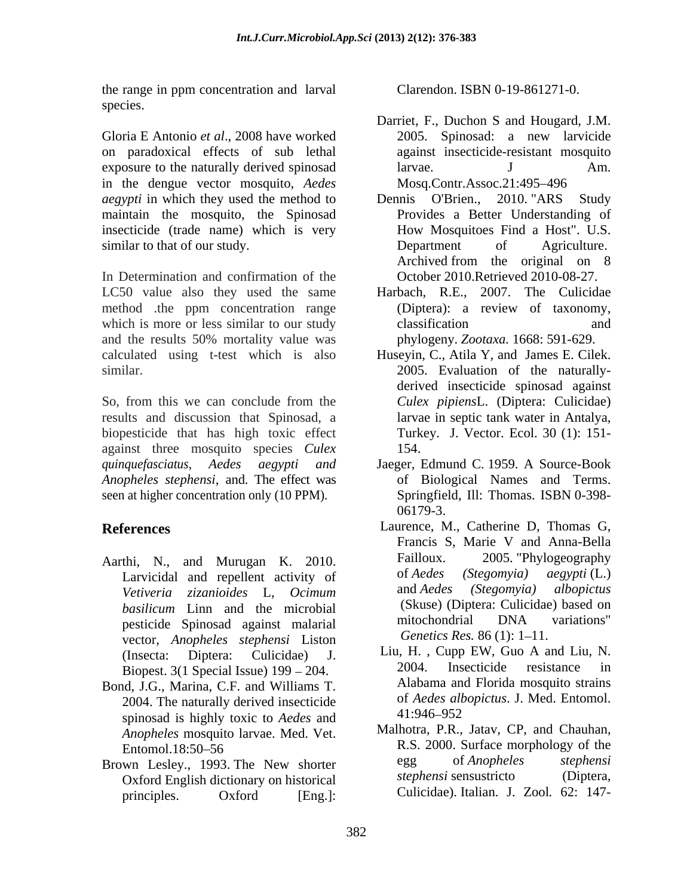the range in ppm concentration and larval Clarendon. ISBN 0-19-861271-0. species.

Gloria E Antonio *et al*., 2008 have worked on paradoxical effects of sub lethal exposure to the naturally derived spinosad larvae. J Am. in the dengue vector mosquito, *Aedes aegypti* in which they used the method to Dennis O'Brien., 2010. "ARS Study maintain the mosquito, the Spinosad insecticide (trade name) which is very similar to that of our study. Department of Agriculture.

In Determination and confirmation of the LC50 value also they used the same method .the ppm concentration range (Diptera): a review of taxonomy, which is more or less similar to our study classification and and the results 50% mortality value was phylogeny. Zootaxa. 1668: 591-629. calculated using t-test which is also Huseyin, C., Atila Y, and James E. Cilek.

So, from this we can conclude from the *Culex pipiensL*. (Diptera: Culicidae) results and discussion that Spinosad, a biopesticide that has high toxic effect against three mosquito species *Culex quinquefasciatus, Aedes aegypti and* Jaeger, Edmund C. 1959. A Source-Book *Anopheles stephensi,* and*.* The effect was seen at higher concentration only (10 PPM). Springfield, Ill: Thomas. ISBN 0-398-

- Aarthi, N., and Murugan K. 2010. Failloux. 2005. Phylogeography<br>Larvicidal and repellent activity of of Aedes (Stegomyia) aegypti(L.) pesticide Spinosad against malarial mutochondrial DNA<br>vector Anopheles stephensi Liston Genetics Res. 86 (1): 1–11. vector, *Anopheles stephensi* Liston
- Bond, J.G., Marina, C.F. and Williams T. 2004. The naturally derived insecticide to the desired in the principal is highly toxic to Aedes and the 41:946–952 spinosad is highly toxic to *Aedes* and *Anopheles* mosquito larvae. Med. Vet.
- Oxford English dictionary on historical principles. Oxford [Eng.]: Culicidae). Italian. J. Zool. 62: 147-

Clarendon. ISBN 0-19-861271-0.

- Darriet, F., Duchon S and Hougard, J.M. 2005. Spinosad: a new larvicide against insecticide-resistant mosquito larvae. J Am. Mosq.Contr.Assoc.21:495-496
- Dennis O'Brien., 2010. "ARS Provides a Better Understanding of How Mosquitoes Find a Host". U.S. Department of Agriculture. Archived from the original on 8 October 2010.Retrieved 2010-08-27.
- Harbach, R.E., 2007. The Culicidae (Diptera): a review of taxonomy, classification and and phylogeny. *Zootaxa.* 1668: 591-629.
- similar. 2005. Evaluation of the naturally derived insecticide spinosad against *Culex pipiens*L. (Diptera: Culicidae) larvae in septic tank water in Antalya, Turkey. J. Vector. Ecol. 30 (1): 151- 154.
	- of Biological Names and Terms. Springfield, Ill: Thomas. ISBN 0-398- 06179-3.
- **References** Laurence, M., Catherine D, Thomas G, Larvicidal and repellent activity of the of Aedes (Stegomyia) aegypti(L.)<br>Vetiveria zizanioides I Ocimum and Aedes (Stegomyia) albopictus *Vetiveria zizanioides* L, *Ocimum basilicum* Linn and the microbial (Skuse) (Diptera: Culicidae) based on exitation contained a mitochondrial DNA variations" Francis S, Marie V and Anna-Bella 2005. "Phylogeography of *Aedes (Stegomyia) aegypti* (L.) and *Aedes (Stegomyia) albopictus* (Skuse) (Diptera: Culicidae) based on mitochondrial DNA variations" *Genetics Res.* 86 (1): 1–11.
	- (Insecta: Diptera: Culicidae) J. Liu, H. , Cupp EW, Guo A and Liu, N. Biopest. 3(1 Special Issue)  $199 - 204$ . 2004. Insecticide resistance in 2004. Insecticide resistance in Alabama and Florida mosquito strains of *Aedes albopictus*. J. Med. Entomol. 41:946 952
- Entomol.18:50–56 R.S. 2000. Surface morphology of the Brown Lesley., 1993. The New shorter egg of *Anopheles* stephensi<br>Oxford English dictionary on historical stephensi sensustricto (Diptera. Malhotra, P.R., Jatav, CP, and Chauhan, egg of *Anopheles stephensi stephensi* sensustricto Culicidae). Italian. J. Zool*.* 62: 147-